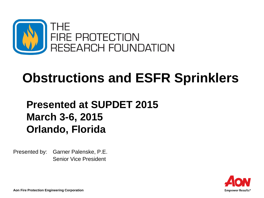

# **Obstructions and ESFR Sprinklers**

# **Presented at SUPDET 2015 March 3-6, 2015 Orlando, Florida**

Presented by: Garner Palenske, P.E. Senior Vice President



**Aon Fire Protection Engineering Corporation**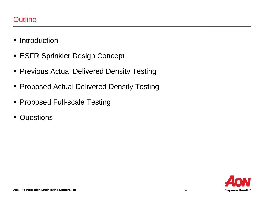- **Introduction**
- **ESFR Sprinkler Design Concept**
- **Previous Actual Delivered Density Testing**
- **Proposed Actual Delivered Density Testing**
- **Proposed Full-scale Testing**
- **Questions**

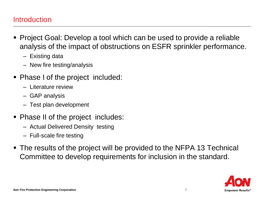#### **Introduction**

- Project Goal: Develop a tool which can be used to provide a reliable analysis of the impact of obstructions on ESFR sprinkler performance.
	- Existing data
	- New fire testing/analysis
- Phase I of the project included:
	- Literature review
	- GAP analysis
	- Test plan development
- **Phase II of the project includes:** 
	- Actual Delivered Density testing
	- Full-scale fire testing
- The results of the project will be provided to the NFPA 13 Technical Committee to develop requirements for inclusion in the standard.

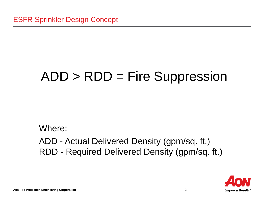# ADD > RDD = Fire Suppression

Where: ADD - Actual Delivered Density (gpm/sq. ft.) RDD - Required Delivered Density (gpm/sq. ft.)

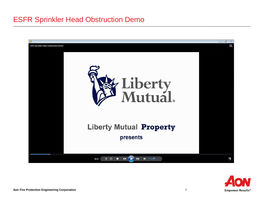# ESFR Sprinkler Head Obstruction Demo



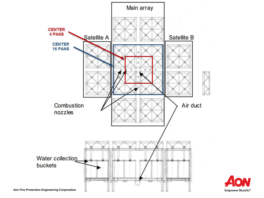

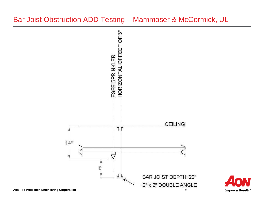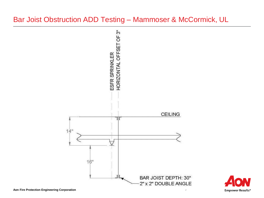# Bar Joist Obstruction ADD Testing - Mammoser & McCormick, UL



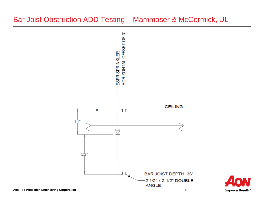## Bar Joist Obstruction ADD Testing - Mammoser & McCormick, UL



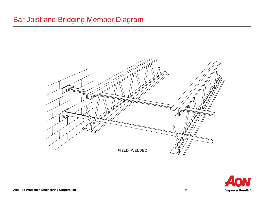# Bar Joist and Bridging Member Diagram



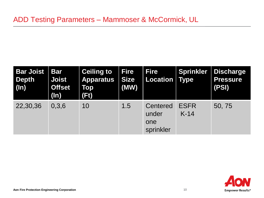| <b>Bar Joist</b><br><b>Depth</b><br>$(\ln)$ | <b>Bar</b><br><b>Joist</b><br><b>Offset</b><br>$(\ln)$ | <b>Ceiling to</b><br><b>Apparatus</b><br>Top<br>(Ft) | <b>Fire</b><br><b>Size</b><br>(MW) | <b>Fire</b><br><b>Location</b>        | <b>Sprinkler</b><br><b>Type</b> | Discharge<br><b>Pressure</b><br>(PSI) |
|---------------------------------------------|--------------------------------------------------------|------------------------------------------------------|------------------------------------|---------------------------------------|---------------------------------|---------------------------------------|
| 22,30,36                                    | 0,3,6                                                  | 10                                                   | 1.5                                | Centered<br>under<br>one<br>sprinkler | <b>ESFR</b><br>$K-14$           | 50, 75                                |

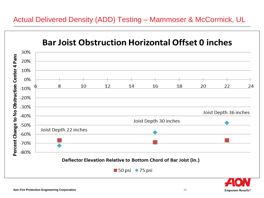# Actual Delivered Density (ADD) Testing – Mammoser & McCormick, UL



**Empower Results<sup>®</sup>**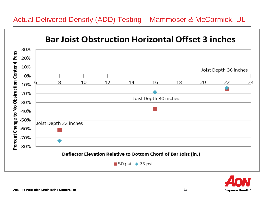

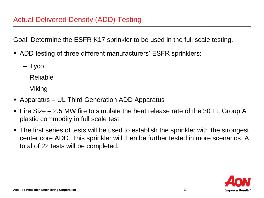Goal: Determine the ESFR K17 sprinkler to be used in the full scale testing.

- ADD testing of three different manufacturers' ESFR sprinklers:
	- Tyco
	- Reliable
	- Viking
- Apparatus UL Third Generation ADD Apparatus
- Fire Size 2.5 MW fire to simulate the heat release rate of the 30 Ft. Group A plastic commodity in full scale test.
- The first series of tests will be used to establish the sprinkler with the strongest center core ADD. This sprinkler will then be further tested in more scenarios. A total of 22 tests will be completed.

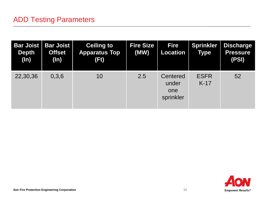| <b>Bar Joist</b><br><b>Depth</b><br>$(\ln)$ | <b>Bar Joist</b><br><b>Offset</b><br>$(\ln)$ | <b>Ceiling to</b><br><b>Apparatus Top</b><br>(Ft) | <b>Fire Size</b><br>(MW) | <b>Fire</b><br><b>Location</b>        | <b>Sprinkler</b><br><b>Type</b> | <b>Discharge</b><br><b>Pressure</b><br>(PSI) |
|---------------------------------------------|----------------------------------------------|---------------------------------------------------|--------------------------|---------------------------------------|---------------------------------|----------------------------------------------|
| 22,30,36                                    | 0,3,6                                        | 10                                                | 2.5                      | Centered<br>under<br>one<br>sprinkler | <b>ESFR</b><br>$K-17$           | 52                                           |

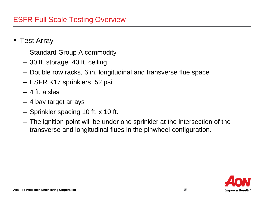# ESFR Full Scale Testing Overview

- Test Array
	- Standard Group A commodity
	- 30 ft. storage, 40 ft. ceiling
	- Double row racks, 6 in. longitudinal and transverse flue space
	- ESFR K17 sprinklers, 52 psi
	- 4 ft. aisles
	- 4 bay target arrays
	- Sprinkler spacing 10 ft. x 10 ft.
	- The ignition point will be under one sprinkler at the intersection of the transverse and longitudinal flues in the pinwheel configuration.

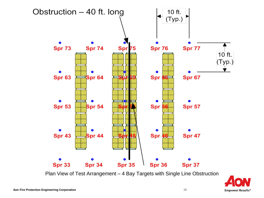

Plan View of Test Arrangement – 4 Bay Targets with Single Line Obstruction

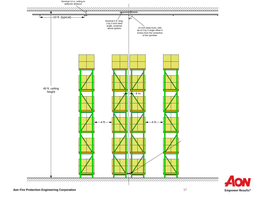

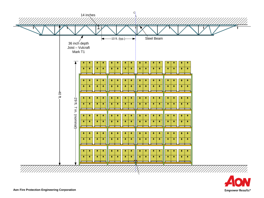

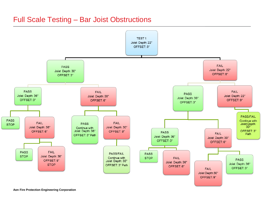## **Full Scale Testing - Bar Joist Obstructions**

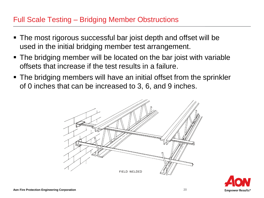## Full Scale Testing – Bridging Member Obstructions

- The most rigorous successful bar joist depth and offset will be used in the initial bridging member test arrangement.
- The bridging member will be located on the bar joist with variable offsets that increase if the test results in a failure.
- The bridging members will have an initial offset from the sprinkler of 0 inches that can be increased to 3, 6, and 9 inches.



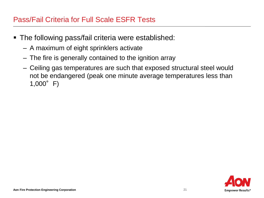## Pass/Fail Criteria for Full Scale ESFR Tests

- The following pass/fail criteria were established:
	- A maximum of eight sprinklers activate
	- The fire is generally contained to the ignition array
	- Ceiling gas temperatures are such that exposed structural steel would not be endangered (peak one minute average temperatures less than  $1,000^{\circ}$  F)

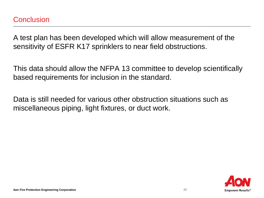A test plan has been developed which will allow measurement of the sensitivity of ESFR K17 sprinklers to near field obstructions.

This data should allow the NFPA 13 committee to develop scientifically based requirements for inclusion in the standard.

Data is still needed for various other obstruction situations such as miscellaneous piping, light fixtures, or duct work.